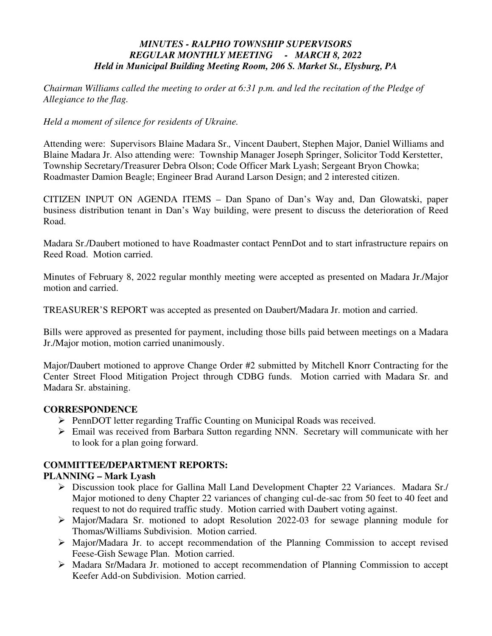### *MINUTES - RALPHO TOWNSHIP SUPERVISORS REGULAR MONTHLY MEETING - MARCH 8, 2022 Held in Municipal Building Meeting Room, 206 S. Market St., Elysburg, PA*

*Chairman Williams called the meeting to order at 6:31 p.m. and led the recitation of the Pledge of Allegiance to the flag.* 

*Held a moment of silence for residents of Ukraine.* 

Attending were: Supervisors Blaine Madara Sr.*,* Vincent Daubert, Stephen Major, Daniel Williams and Blaine Madara Jr. Also attending were: Township Manager Joseph Springer, Solicitor Todd Kerstetter, Township Secretary/Treasurer Debra Olson; Code Officer Mark Lyash; Sergeant Bryon Chowka; Roadmaster Damion Beagle; Engineer Brad Aurand Larson Design; and 2 interested citizen.

CITIZEN INPUT ON AGENDA ITEMS – Dan Spano of Dan's Way and, Dan Glowatski, paper business distribution tenant in Dan's Way building, were present to discuss the deterioration of Reed Road.

Madara Sr./Daubert motioned to have Roadmaster contact PennDot and to start infrastructure repairs on Reed Road. Motion carried.

Minutes of February 8, 2022 regular monthly meeting were accepted as presented on Madara Jr./Major motion and carried.

TREASURER'S REPORT was accepted as presented on Daubert/Madara Jr. motion and carried.

Bills were approved as presented for payment, including those bills paid between meetings on a Madara Jr./Major motion, motion carried unanimously.

Major/Daubert motioned to approve Change Order #2 submitted by Mitchell Knorr Contracting for the Center Street Flood Mitigation Project through CDBG funds. Motion carried with Madara Sr. and Madara Sr. abstaining.

### **CORRESPONDENCE**

- PennDOT letter regarding Traffic Counting on Municipal Roads was received.
- Email was received from Barbara Sutton regarding NNN. Secretary will communicate with her to look for a plan going forward.

### **COMMITTEE/DEPARTMENT REPORTS:**

#### **PLANNING – Mark Lyash**

- Discussion took place for Gallina Mall Land Development Chapter 22 Variances. Madara Sr./ Major motioned to deny Chapter 22 variances of changing cul-de-sac from 50 feet to 40 feet and request to not do required traffic study. Motion carried with Daubert voting against.
- Major/Madara Sr. motioned to adopt Resolution 2022-03 for sewage planning module for Thomas/Williams Subdivision. Motion carried.
- Major/Madara Jr. to accept recommendation of the Planning Commission to accept revised Feese-Gish Sewage Plan. Motion carried.
- Madara Sr/Madara Jr. motioned to accept recommendation of Planning Commission to accept Keefer Add-on Subdivision. Motion carried.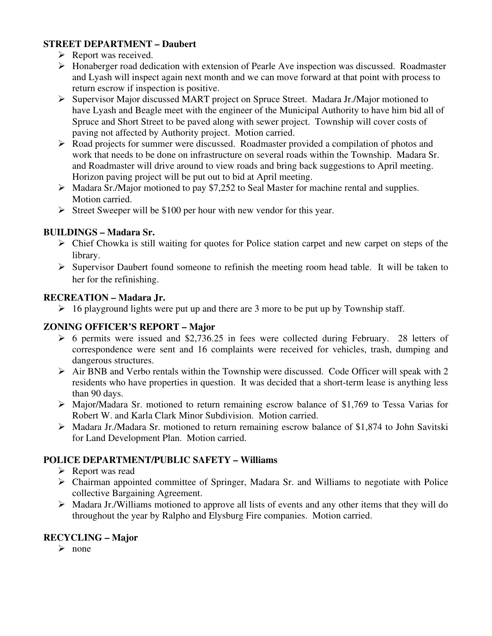### **STREET DEPARTMENT – Daubert**

- $\triangleright$  Report was received.
- Honaberger road dedication with extension of Pearle Ave inspection was discussed. Roadmaster and Lyash will inspect again next month and we can move forward at that point with process to return escrow if inspection is positive.
- Supervisor Major discussed MART project on Spruce Street. Madara Jr./Major motioned to have Lyash and Beagle meet with the engineer of the Municipal Authority to have him bid all of Spruce and Short Street to be paved along with sewer project. Township will cover costs of paving not affected by Authority project. Motion carried.
- Road projects for summer were discussed. Roadmaster provided a compilation of photos and work that needs to be done on infrastructure on several roads within the Township. Madara Sr. and Roadmaster will drive around to view roads and bring back suggestions to April meeting. Horizon paving project will be put out to bid at April meeting.
- $\triangleright$  Madara Sr./Major motioned to pay \$7,252 to Seal Master for machine rental and supplies. Motion carried.
- $\triangleright$  Street Sweeper will be \$100 per hour with new vendor for this year.

# **BUILDINGS – Madara Sr.**

- $\triangleright$  Chief Chowka is still waiting for quotes for Police station carpet and new carpet on steps of the library.
- $\triangleright$  Supervisor Daubert found someone to refinish the meeting room head table. It will be taken to her for the refinishing.

## **RECREATION – Madara Jr.**

 $\geq 16$  playground lights were put up and there are 3 more to be put up by Township staff.

# **ZONING OFFICER'S REPORT – Major**

- $\geq 6$  permits were issued and \$2,736.25 in fees were collected during February. 28 letters of correspondence were sent and 16 complaints were received for vehicles, trash, dumping and dangerous structures.
- $\triangleright$  Air BNB and Verbo rentals within the Township were discussed. Code Officer will speak with 2 residents who have properties in question. It was decided that a short-term lease is anything less than 90 days.
- Major/Madara Sr. motioned to return remaining escrow balance of \$1,769 to Tessa Varias for Robert W. and Karla Clark Minor Subdivision. Motion carried.
- $\triangleright$  Madara Jr./Madara Sr. motioned to return remaining escrow balance of \$1,874 to John Savitski for Land Development Plan. Motion carried.

### **POLICE DEPARTMENT/PUBLIC SAFETY – Williams**

- $\triangleright$  Report was read
- Chairman appointed committee of Springer, Madara Sr. and Williams to negotiate with Police collective Bargaining Agreement.
- Madara Jr./Williams motioned to approve all lists of events and any other items that they will do throughout the year by Ralpho and Elysburg Fire companies. Motion carried.

# **RECYCLING – Major**

 $\triangleright$  none